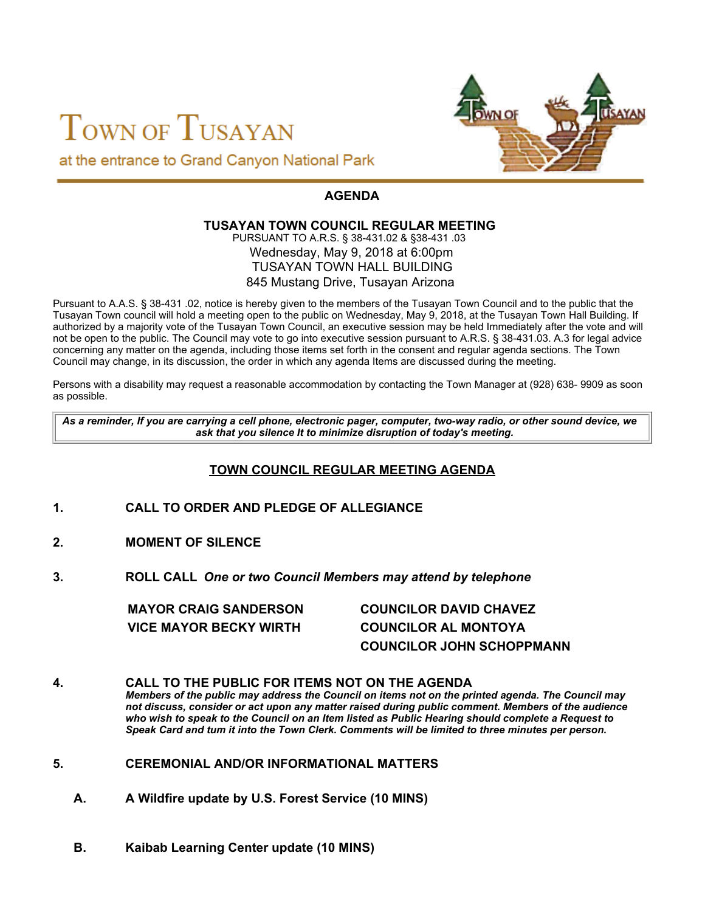# TOWN OF TUSAYAN at the entrance to Grand Canyon National Park



# **AGENDA**

#### **TUSAYAN TOWN COUNCIL REGULAR MEETING** PURSUANT TO A.R.S. § 38-431.02 & §38-431 .03

#### Wednesday, May 9, 2018 at 6:00pm TUSAYAN TOWN HALL BUILDING 845 Mustang Drive, Tusayan Arizona

Pursuant to A.A.S. § 38-431 .02, notice is hereby given to the members of the Tusayan Town Council and to the public that the Tusayan Town council will hold a meeting open to the public on Wednesday, May 9, 2018, at the Tusayan Town Hall Building. If authorized by a majority vote of the Tusayan Town Council, an executive session may be held Immediately after the vote and will not be open to the public. The Council may vote to go into executive session pursuant to A.R.S. § 38-431.03. A.3 for legal advice concerning any matter on the agenda, including those items set forth in the consent and regular agenda sections. The Town Council may change, in its discussion, the order in which any agenda Items are discussed during the meeting.

Persons with a disability may request a reasonable accommodation by contacting the Town Manager at (928) 638- 9909 as soon as possible.

*As a reminder, If you are carrying a cell phone, electronic pager, computer, two-way radio, or other sound device, we ask that you silence It to minimize disruption of today's meeting.*

## **TOWN COUNCIL REGULAR MEETING AGENDA**

- **1. CALL TO ORDER AND PLEDGE OF ALLEGIANCE**
- **2. MOMENT OF SILENCE**
- **3. ROLL CALL** *One or two Council Members may attend by telephone*

| <b>MAYOR CRAIG SANDERSON</b>  | <b>COUNCILOR DAVID CHAVEZ</b>    |
|-------------------------------|----------------------------------|
| <b>VICE MAYOR BECKY WIRTH</b> | <b>COUNCILOR AL MONTOYA</b>      |
|                               | <b>COUNCILOR JOHN SCHOPPMANN</b> |

**4. CALL TO THE PUBLIC FOR ITEMS NOT ON THE AGENDA** *Members of the public may address the Council on items not on the printed agenda. The Council may not discuss, consider or act upon any matter raised during public comment. Members of the audience who wish to speak to the Council on an Item listed as Public Hearing should complete a Request to Speak Card and tum it into the Town Clerk. Comments will be limited to three minutes per person.*

- **5. CEREMONIAL AND/OR INFORMATIONAL MATTERS**
	- **A. A Wildfire update by U.S. Forest Service (10 MINS)**
	- **B. Kaibab Learning Center update (10 MINS)**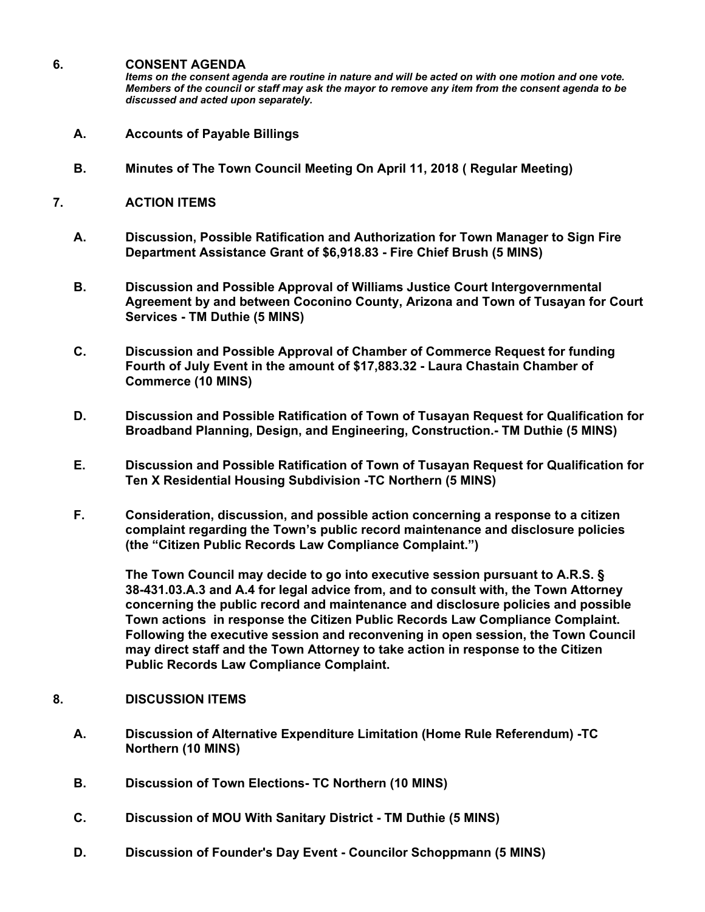#### **6. CONSENT AGENDA**

*Items on the consent agenda are routine in nature and will be acted on with one motion and one vote. Members of the council or staff may ask the mayor to remove any item from the consent agenda to be discussed and acted upon separately.*

- **A. Accounts of Payable Billings**
- **B. Minutes of The Town Council Meeting On April 11, 2018 ( Regular Meeting)**

#### **7. ACTION ITEMS**

- **A. Discussion, Possible Ratification and Authorization for Town Manager to Sign Fire Department Assistance Grant of \$6,918.83 - Fire Chief Brush (5 MINS)**
- **B. Discussion and Possible Approval of Williams Justice Court Intergovernmental Agreement by and between Coconino County, Arizona and Town of Tusayan for Court Services - TM Duthie (5 MINS)**
- **C. Discussion and Possible Approval of Chamber of Commerce Request for funding Fourth of July Event in the amount of \$17,883.32 - Laura Chastain Chamber of Commerce (10 MINS)**
- **D. Discussion and Possible Ratification of Town of Tusayan Request for Qualification for Broadband Planning, Design, and Engineering, Construction.- TM Duthie (5 MINS)**
- **E. Discussion and Possible Ratification of Town of Tusayan Request for Qualification for Ten X Residential Housing Subdivision -TC Northern (5 MINS)**
- **F. Consideration, discussion, and possible action concerning a response to a citizen complaint regarding the Town's public record maintenance and disclosure policies (the "Citizen Public Records Law Compliance Complaint.")**

**The Town Council may decide to go into executive session pursuant to A.R.S. § 38-431.03.A.3 and A.4 for legal advice from, and to consult with, the Town Attorney concerning the public record and maintenance and disclosure policies and possible Town actions in response the Citizen Public Records Law Compliance Complaint. Following the executive session and reconvening in open session, the Town Council may direct staff and the Town Attorney to take action in response to the Citizen Public Records Law Compliance Complaint.**

- **8. DISCUSSION ITEMS**
	- **A. Discussion of Alternative Expenditure Limitation (Home Rule Referendum) -TC Northern (10 MINS)**
	- **B. Discussion of Town Elections- TC Northern (10 MINS)**
	- **C. Discussion of MOU With Sanitary District TM Duthie (5 MINS)**
	- **D. Discussion of Founder's Day Event Councilor Schoppmann (5 MINS)**